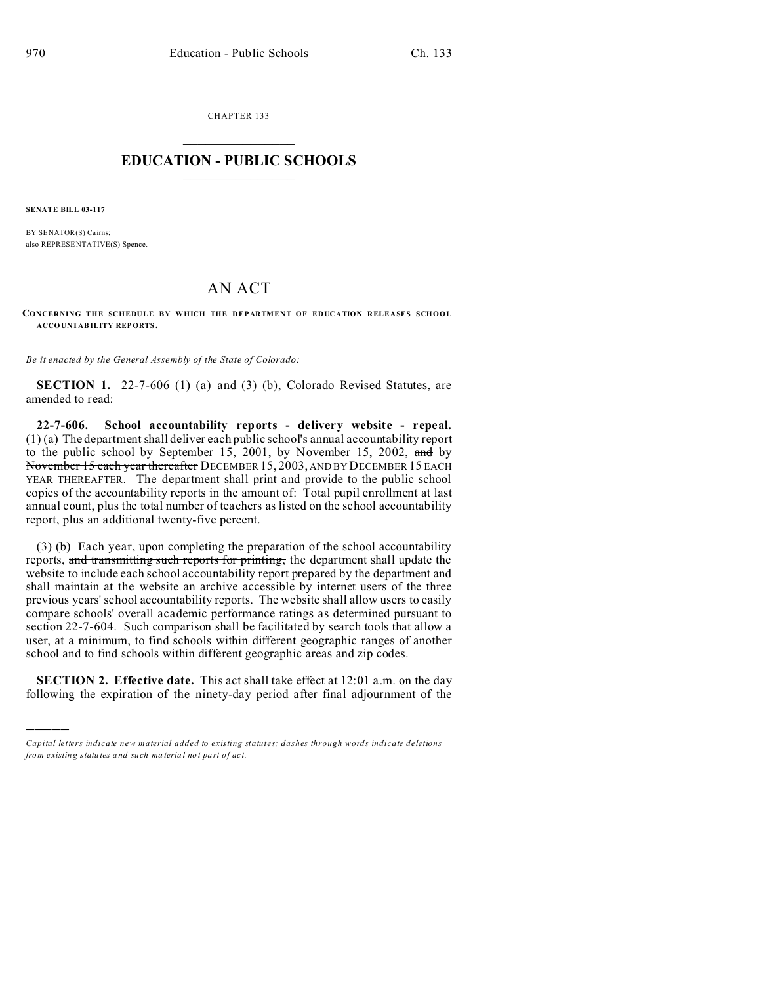CHAPTER 133  $\overline{\phantom{a}}$  , where  $\overline{\phantom{a}}$ 

## **EDUCATION - PUBLIC SCHOOLS**  $\_$   $\_$   $\_$   $\_$   $\_$   $\_$   $\_$   $\_$   $\_$

**SENATE BILL 03-117**

)))))

BY SENATOR(S) Cairns; also REPRESE NTATIVE(S) Spence.

## AN ACT

**CONCERNING THE SCHEDULE BY WHICH THE DEPARTMENT OF EDUCATION RELEASES SCHOOL ACCO UNTAB ILITY REPORTS.**

*Be it enacted by the General Assembly of the State of Colorado:*

**SECTION 1.** 22-7-606 (1) (a) and (3) (b), Colorado Revised Statutes, are amended to read:

**22-7-606. School accountability reports - delivery website - repeal.** (1) (a) The department shall deliver each public school's annual accountability report to the public school by September 15, 2001, by November 15, 2002, and by N<del>ovember 15 each year thereafter</del> DECEMBER 15, 2003, AND BY DECEMBER 15 EACH YEAR THEREAFTER. The department shall print and provide to the public school copies of the accountability reports in the amount of: Total pupil enrollment at last annual count, plus the total number of teachers as listed on the school accountability report, plus an additional twenty-five percent.

(3) (b) Each year, upon completing the preparation of the school accountability reports, and transmitting such reports for printing, the department shall update the website to include each school accountability report prepared by the department and shall maintain at the website an archive accessible by internet users of the three previous years' school accountability reports. The website shall allow users to easily compare schools' overall academic performance ratings as determined pursuant to section 22-7-604. Such comparison shall be facilitated by search tools that allow a user, at a minimum, to find schools within different geographic ranges of another school and to find schools within different geographic areas and zip codes.

**SECTION 2. Effective date.** This act shall take effect at 12:01 a.m. on the day following the expiration of the ninety-day period after final adjournment of the

*Capital letters indicate new material added to existing statutes; dashes through words indicate deletions from e xistin g statu tes a nd such ma teria l no t pa rt of ac t.*